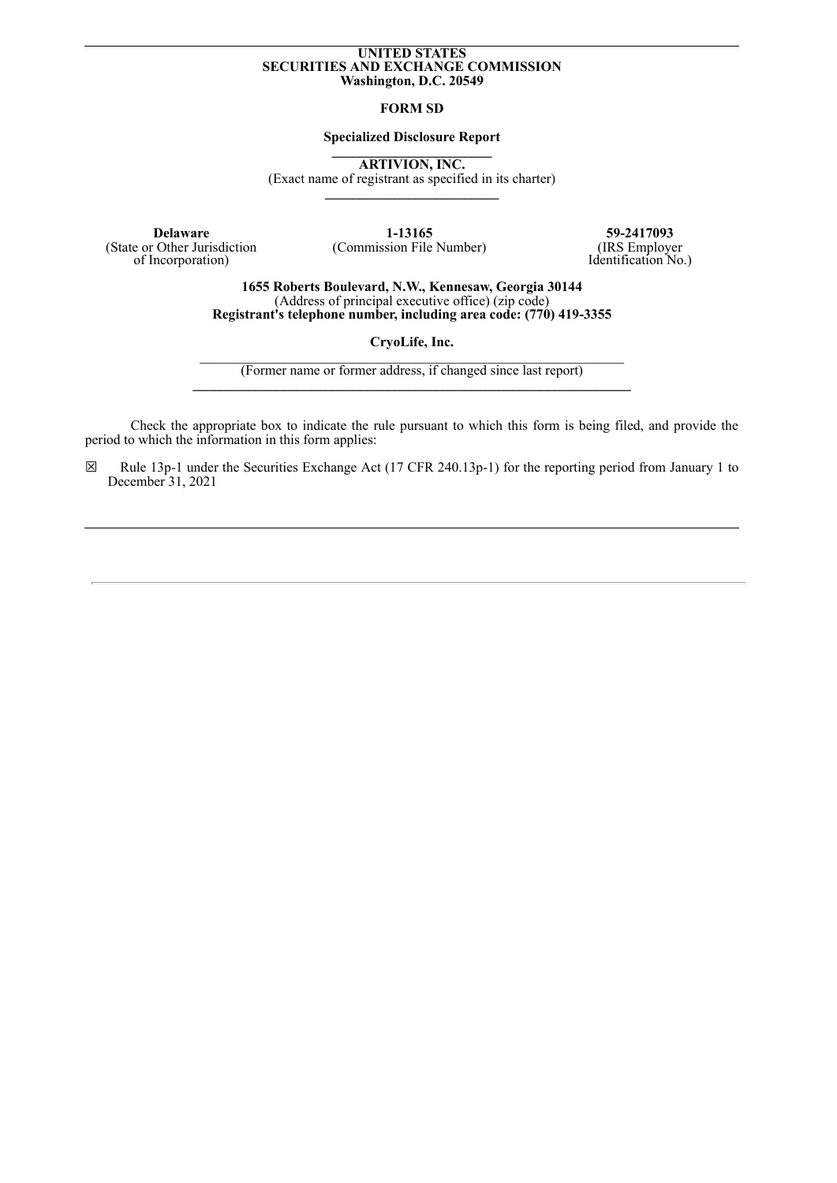## **UNITED STATES SECURITIES AND EXCHANGE COMMISSION Washington, D.C. 20549**

### **FORM SD**

## **Specialized Disclosure Report**

**\_\_\_\_\_\_\_\_\_\_\_\_\_\_\_\_\_\_\_\_\_\_\_ ARTIVION, INC.**

(Exact name of registrant as specified in its charter) **\_\_\_\_\_\_\_\_\_\_\_\_\_\_\_\_\_\_\_\_\_\_\_\_\_**

**Delaware 1-13165 59-2417093**<br> **1-13165 59-2417093 59-2417093 COmmission File Number** (IRS Employer (State or Other Jurisdiction of Incorporation)

(Commission File Number)

Identification No.)

**1655 Roberts Boulevard, N.W., Kennesaw, Georgia 30144** (Address of principal executive office) (zip code) **Registrant's telephone number, including area code: (770) 419-3355**

**CryoLife, Inc.**  $\_$  , and the set of the set of the set of the set of the set of the set of the set of the set of the set of the set of the set of the set of the set of the set of the set of the set of the set of the set of the set of th

(Former name or former address, if changed since last report) **\_\_\_\_\_\_\_\_\_\_\_\_\_\_\_\_\_\_\_\_\_\_\_\_\_\_\_\_\_\_\_\_\_\_\_\_\_\_\_\_\_\_\_\_\_\_\_\_\_\_\_\_\_\_\_\_\_\_\_\_\_\_\_**

Check the appropriate box to indicate the rule pursuant to which this form is being filed, and provide the period to which the information in this form applies:

☒ Rule 13p-1 under the Securities Exchange Act (17 CFR 240.13p-1) for the reporting period from January 1 to December 31, 2021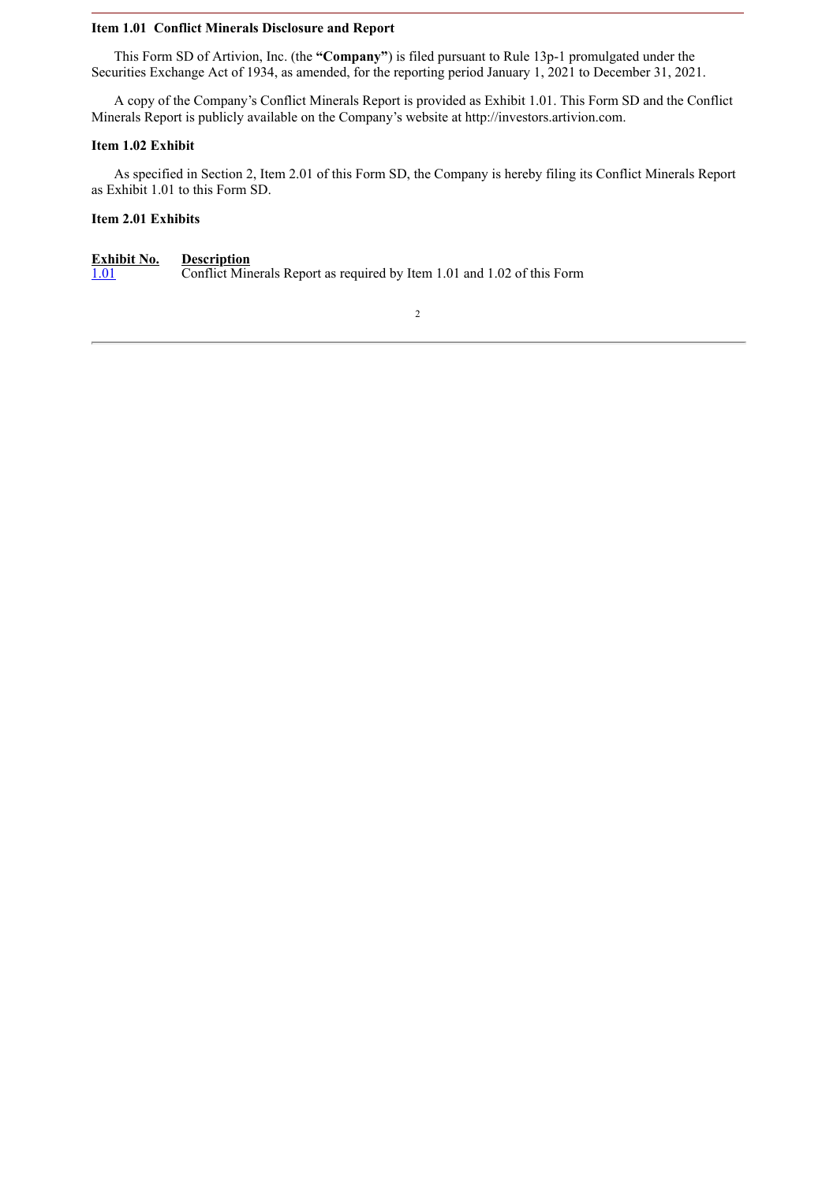## **Item 1.01 Conflict Minerals Disclosure and Report**

This Form SD of Artivion, Inc. (the **"Company"**) is filed pursuant to Rule 13p-1 promulgated under the Securities Exchange Act of 1934, as amended, for the reporting period January 1, 2021 to December 31, 2021.

A copy of the Company's Conflict Minerals Report is provided as Exhibit 1.01. This Form SD and the Conflict Minerals Report is publicly available on the Company's website at http://investors.artivion.com.

# **Item 1.02 Exhibit**

As specified in Section 2, Item 2.01 of this Form SD, the Company is hereby filing its Conflict Minerals Report as Exhibit 1.01 to this Form SD.

# **Item 2.01 Exhibits**

**Exhibit No. Description**<br>1.01 **Conflict Min** [1.01](#page-3-0) Conflict Minerals Report as required by Item 1.01 and 1.02 of this Form

2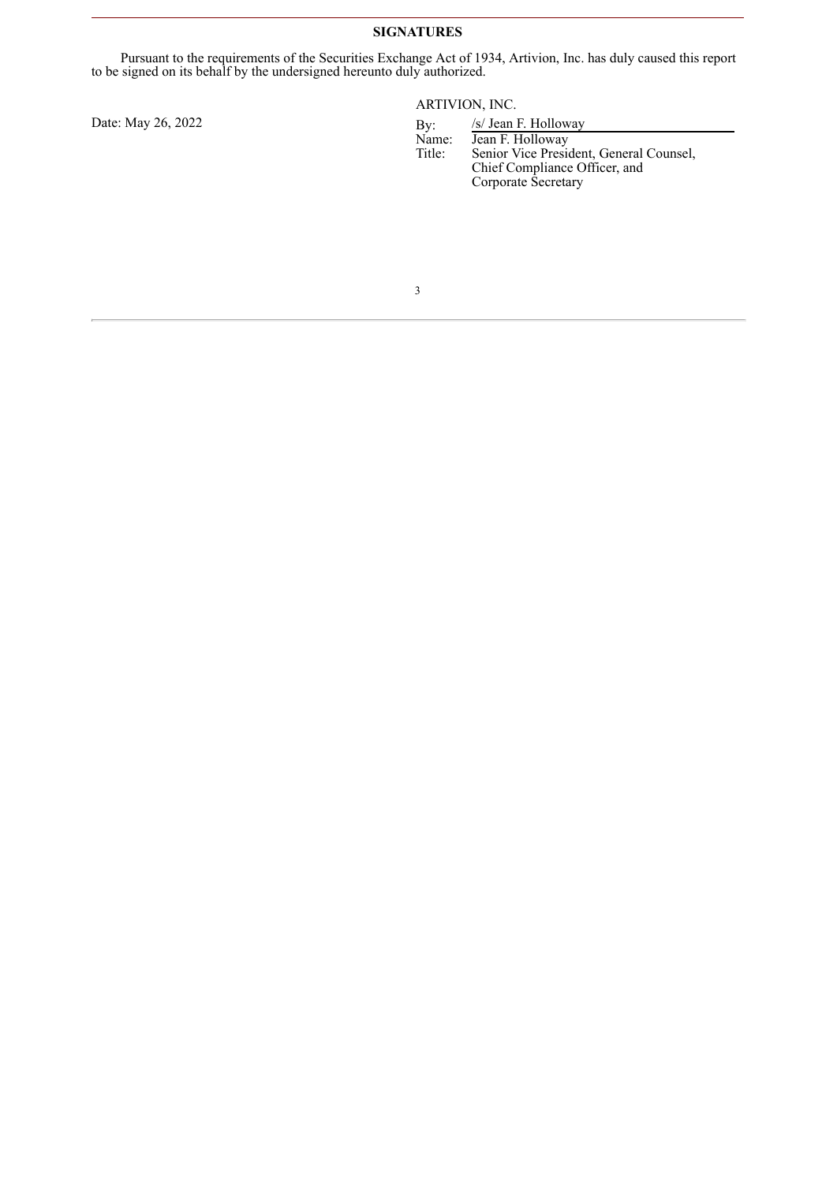# **SIGNATURES**

Pursuant to the requirements of the Securities Exchange Act of 1934, Artivion, Inc. has duly caused this report to be signed on its behalf by the undersigned hereunto duly authorized.

Date: May 26, 2022

ARTIVION, INC.

| By:    | /s/ Jean F. Holloway                    |  |
|--------|-----------------------------------------|--|
| Name:  | Jean F. Holloway                        |  |
| Title: | Senior Vice President, General Counsel, |  |
|        | Chief Compliance Officer, and           |  |
|        | Corporate Secretary                     |  |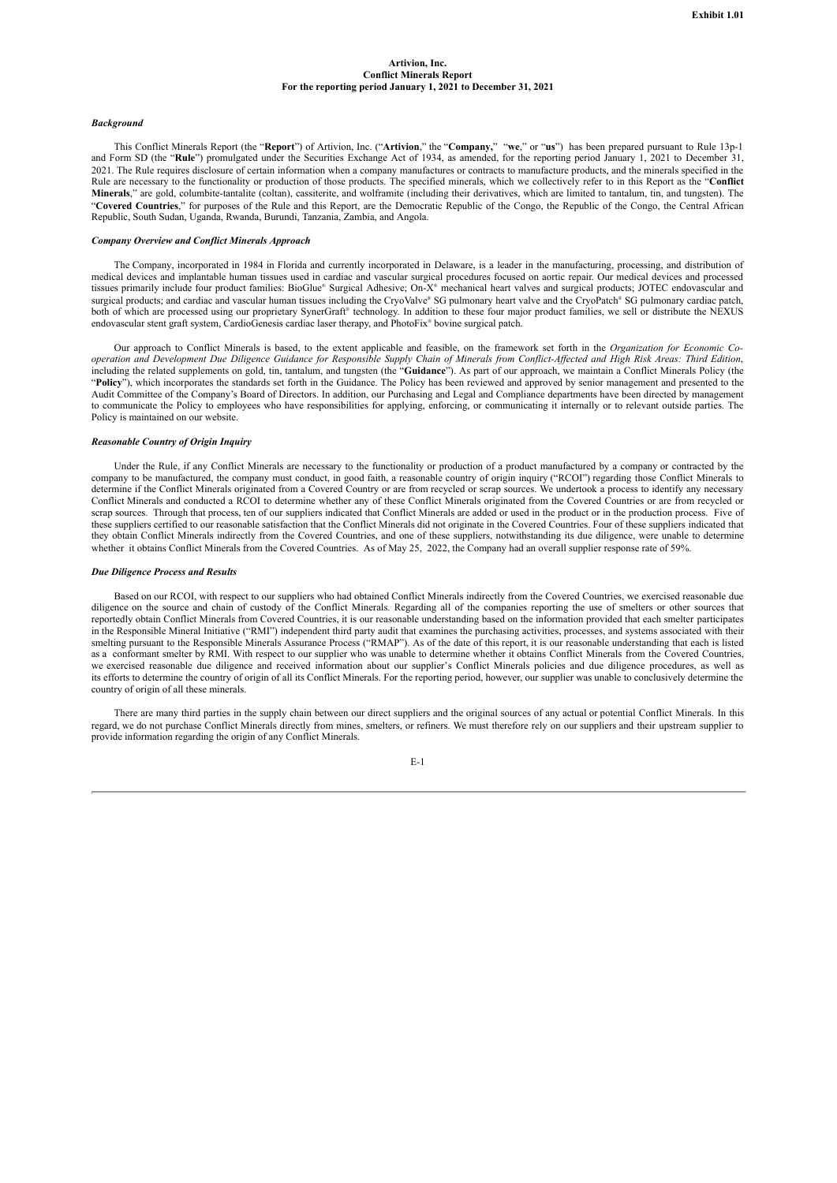#### **Artivion, Inc. Conflict Minerals Report For the reporting period January 1, 2021 to December 31, 2021**

#### <span id="page-3-0"></span>*Background*

This Conflict Minerals Report (the "**Report**") of Artivion, Inc. ("**Artivion**," the "**Company,**" "**we**," or "**us**") has been prepared pursuant to Rule 13p-1 and Form SD (the "**Rule**") promulgated under the Securities Exchange Act of 1934, as amended, for the reporting period January 1, 2021 to December 31, 2021. The Rule requires disclosure of certain information when a company manufactures or contracts to manufacture products, and the minerals specified in the Rule are necessary to the functionality or production of those products. The specified minerals, which we collectively refer to in this Report as the "**Conflict Minerals**," are gold, columbite-tantalite (coltan), cassiterite, and wolframite (including their derivatives, which are limited to tantalum, tin, and tungsten). The "**Covered Countries**," for purposes of the Rule and this Report, are the Democratic Republic of the Congo, the Republic of the Congo, the Central African Republic, South Sudan, Uganda, Rwanda, Burundi, Tanzania, Zambia, and Angola.

#### *Company Overview and Conflict Minerals Approach*

The Company, incorporated in 1984 in Florida and currently incorporated in Delaware, is a leader in the manufacturing, processing, and distribution of medical devices and implantable human tissues used in cardiac and vascular surgical procedures focused on aortic repair. Our medical devices and processed tissues primarily include four product families: BioGlue® Surgical Adhesive; On-X® mechanical heart valves and surgical products; JOTEC endovascular and surgical products; and cardiac and vascular human tissues including the CryoValve® SG pulmonary heart valve and the CryoPatch® SG pulmonary cardiac patch, both of which are processed using our proprietary SynerGraft® technology. In addition to these four major product families, we sell or distribute the NEXUS endovascular stent graft system, CardioGenesis cardiac laser therapy, and PhotoFix ® bovine surgical patch.

Our approach to Conflict Minerals is based, to the extent applicable and feasible, on the framework set forth in the *Organization for Economic Co*operation and Development Due Diligence Guidance for Responsible Supply Chain of Minerals from Conflict-Affected and High Risk Areas: Third Edition, including the related supplements on gold, tin, tantalum, and tungsten (the "**Guidance**"). As part of our approach, we maintain a Conflict Minerals Policy (the "**Policy**"), which incorporates the standards set forth in the Guidance. The Policy has been reviewed and approved by senior management and presented to the Audit Committee of the Company's Board of Directors. In addition, our Purchasing and Legal and Compliance departments have been directed by management to communicate the Policy to employees who have responsibilities for applying, enforcing, or communicating it internally or to relevant outside parties. The Policy is maintained on our website.

#### *Reasonable Country of Origin Inquiry*

Under the Rule, if any Conflict Minerals are necessary to the functionality or production of a product manufactured by a company or contracted by the company to be manufactured, the company must conduct, in good faith, a reasonable country of origin inquiry ("RCOI") regarding those Conflict Minerals to determine if the Conflict Minerals originated from a Covered Country or are from recycled or scrap sources. We undertook a process to identify any necessary Conflict Minerals and conducted a RCOI to determine whether any of these Conflict Minerals originated from the Covered Countries or are from recycled or scrap sources. Through that process, ten of our suppliers indicated that Conflict Minerals are added or used in the product or in the production process. Five of these suppliers certified to our reasonable satisfaction that the Conflict Minerals did not originate in the Covered Countries. Four of these suppliers indicated that they obtain Conflict Minerals indirectly from the Covered Countries, and one of these suppliers, notwithstanding its due diligence, were unable to determine whether it obtains Conflict Minerals from the Covered Countries. As of May 25, 2022, the Company had an overall supplier response rate of 59%.

#### *Due Diligence Process and Results*

Based on our RCOI, with respect to our suppliers who had obtained Conflict Minerals indirectly from the Covered Countries, we exercised reasonable due diligence on the source and chain of custody of the Conflict Minerals. Regarding all of the companies reporting the use of smelters or other sources that reportedly obtain Conflict Minerals from Covered Countries, it is our reasonable understanding based on the information provided that each smelter participates in the Responsible Mineral Initiative ("RMI") independent third party audit that examines the purchasing activities, processes, and systems associated with their smelting pursuant to the Responsible Minerals Assurance Process ("RMAP"). As of the date of this report, it is our reasonable understanding that each is listed as a conformant smelter by RMI. With respect to our supplier who was unable to determine whether it obtains Conflict Minerals from the Covered Countries, we exercised reasonable due diligence and received information about our supplier's Conflict Minerals policies and due diligence procedures, as well as its efforts to determine the country of origin of all its Conflict Minerals. For the reporting period, however, our supplier was unable to conclusively determine the country of origin of all these minerals.

There are many third parties in the supply chain between our direct suppliers and the original sources of any actual or potential Conflict Minerals. In this regard, we do not purchase Conflict Minerals directly from mines, smelters, or refiners. We must therefore rely on our suppliers and their upstream supplier to provide information regarding the origin of any Conflict Minerals.

E-1